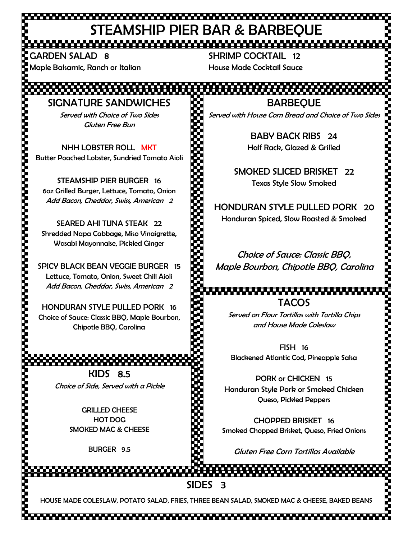## STEAMSHIP PIER BAR & BARBEQUE

GARDEN SALAD 8 Maple Balsamic, Ranch or Italian

SHRIMP COCKTAIL 12 House Made Cocktail Sauce

SIGNATURE SANDWICHES Served with Choice of Two Sides Gluten Free Bun

NHH LOBSTER ROLL MKT Butter Poached Lobster, Sundried Tomato Aioli

STEAMSHIP PIER BURGER 16 6oz Grilled Burger, Lettuce, Tomato, Onion Add Bacon, Cheddar, Swiss, American 2

SEARED AHI TUNA STEAK 22 Shredded Napa Cabbage, Miso Vinaigrette, Wasabi Mayonnaise, Pickled Ginger

SPICY BLACK BEAN VEGGIE BURGER 15 Lettuce, Tomato, Onion, Sweet Chili Aioli Add Bacon, Cheddar, Swiss, American 2

HONDURAN STYLE PULLED PORK 16 Choice of Sauce: Classic BBQ, Maple Bourbon, Chipotle BBQ, Carolina

> KIDS 8.5 Choice of Side, Served with a Pickle

> > GRILLED CHEESE HOT DOG SMOKED MAC & CHEESE

> > > BURGER 9.5

**BARBEOUE** 

Served with House Corn Bread and Choice of Two Sides

BABY BACK RIBS 24 Half Rack, Glazed & Grilled

SMOKED SLICED BRISKET 22 Texas Style Slow Smoked

HONDURAN STYLE PULLED PORK 20 Honduran Spiced, Slow Roasted & Smoked

Choice of Sauce: Classic BBQ, Maple Bourbon, Chipotle BBQ, Carolina

TACOS

Served on Flour Tortillas with Tortilla Chips and House Made Coleslaw

FISH 16 Blackened Atlantic Cod, Pineapple Salsa

PORK or CHICKEN 15 Honduran Style Pork or Smoked Chicken Queso, Pickled Peppers

CHOPPED BRISKET 16 Smoked Chopped Brisket, Queso, Fried Onions

Gluten Free Corn Tortillas Available

SIDES 3

HOUSE MADE COLESLAW, POTATO SALAD, FRIES, THREE BEAN SALAD, SMOKED MAC & CHEESE, BAKED BEANS